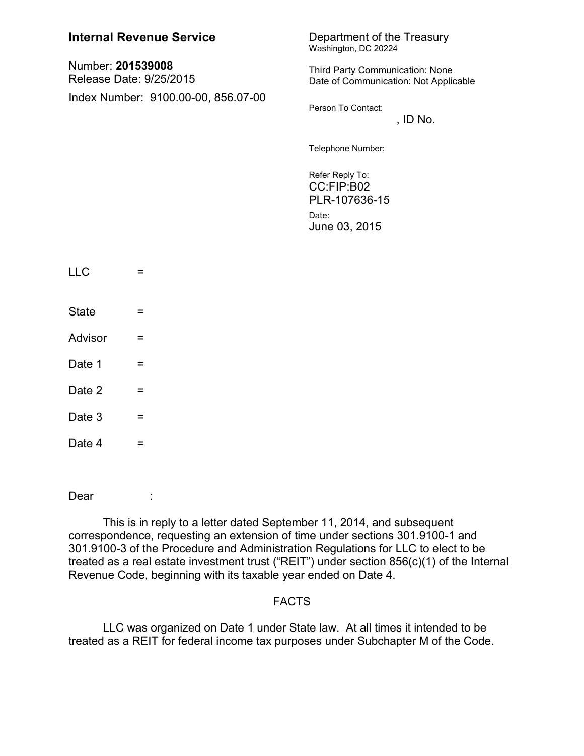| <b>Internal Revenue Service</b>              |     | Department of the Treasury<br>Washington, DC 20224                       |          |
|----------------------------------------------|-----|--------------------------------------------------------------------------|----------|
| Number: 201539008<br>Release Date: 9/25/2015 |     | Third Party Communication: None<br>Date of Communication: Not Applicable |          |
| Index Number: 9100.00-00, 856.07-00          |     | Person To Contact:                                                       | , ID No. |
|                                              |     | Telephone Number:                                                        |          |
|                                              |     | Refer Reply To:<br>CC:FIP:B02<br>PLR-107636-15<br>Date:<br>June 03, 2015 |          |
| <b>LLC</b>                                   | =   |                                                                          |          |
| <b>State</b>                                 | Ξ   |                                                                          |          |
| Advisor                                      | $=$ |                                                                          |          |
| Date 1                                       | Ξ   |                                                                          |          |
| Date 2                                       | $=$ |                                                                          |          |
| Date 3                                       | Ξ   |                                                                          |          |
| Date 4                                       | Ξ   |                                                                          |          |
| Dear                                         |     |                                                                          |          |

This is in reply to a letter dated September 11, 2014, and subsequent correspondence, requesting an extension of time under sections 301.9100-1 and 301.9100-3 of the Procedure and Administration Regulations for LLC to elect to be treated as a real estate investment trust ("REIT") under section 856(c)(1) of the Internal Revenue Code, beginning with its taxable year ended on Date 4.

## FACTS

LLC was organized on Date 1 under State law. At all times it intended to be treated as a REIT for federal income tax purposes under Subchapter M of the Code.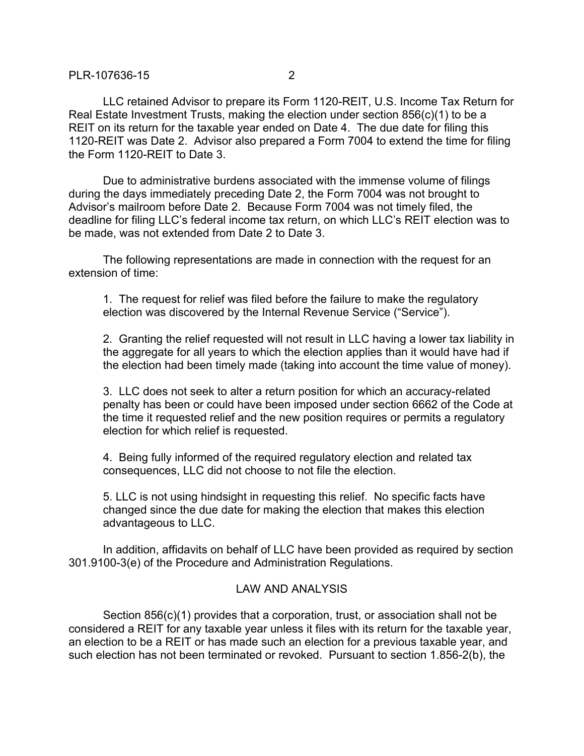## PLR-107636-15 2

LLC retained Advisor to prepare its Form 1120-REIT, U.S. Income Tax Return for Real Estate Investment Trusts, making the election under section 856(c)(1) to be a REIT on its return for the taxable year ended on Date 4. The due date for filing this 1120-REIT was Date 2. Advisor also prepared a Form 7004 to extend the time for filing the Form 1120-REIT to Date 3.

Due to administrative burdens associated with the immense volume of filings during the days immediately preceding Date 2, the Form 7004 was not brought to Advisor's mailroom before Date 2. Because Form 7004 was not timely filed, the deadline for filing LLC's federal income tax return, on which LLC's REIT election was to be made, was not extended from Date 2 to Date 3.

The following representations are made in connection with the request for an extension of time:

1. The request for relief was filed before the failure to make the regulatory election was discovered by the Internal Revenue Service ("Service").

2. Granting the relief requested will not result in LLC having a lower tax liability in the aggregate for all years to which the election applies than it would have had if the election had been timely made (taking into account the time value of money).

3. LLC does not seek to alter a return position for which an accuracy-related penalty has been or could have been imposed under section 6662 of the Code at the time it requested relief and the new position requires or permits a regulatory election for which relief is requested.

4. Being fully informed of the required regulatory election and related tax consequences, LLC did not choose to not file the election.

5. LLC is not using hindsight in requesting this relief. No specific facts have changed since the due date for making the election that makes this election advantageous to LLC.

In addition, affidavits on behalf of LLC have been provided as required by section 301.9100-3(e) of the Procedure and Administration Regulations.

## LAW AND ANALYSIS

Section 856(c)(1) provides that a corporation, trust, or association shall not be considered a REIT for any taxable year unless it files with its return for the taxable year, an election to be a REIT or has made such an election for a previous taxable year, and such election has not been terminated or revoked. Pursuant to section 1.856-2(b), the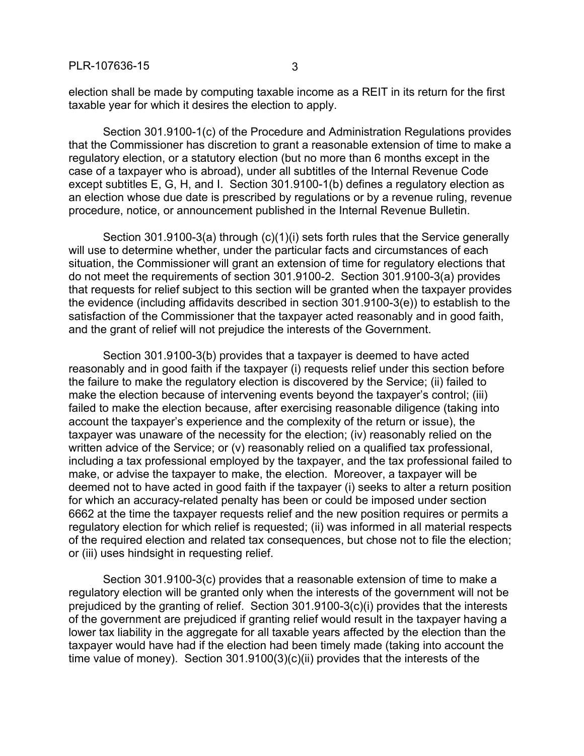election shall be made by computing taxable income as a REIT in its return for the first taxable year for which it desires the election to apply.

Section 301.9100-1(c) of the Procedure and Administration Regulations provides that the Commissioner has discretion to grant a reasonable extension of time to make a regulatory election, or a statutory election (but no more than 6 months except in the case of a taxpayer who is abroad), under all subtitles of the Internal Revenue Code except subtitles E, G, H, and I. Section 301.9100-1(b) defines a regulatory election as an election whose due date is prescribed by regulations or by a revenue ruling, revenue procedure, notice, or announcement published in the Internal Revenue Bulletin.

Section 301.9100-3(a) through (c)(1)(i) sets forth rules that the Service generally will use to determine whether, under the particular facts and circumstances of each situation, the Commissioner will grant an extension of time for regulatory elections that do not meet the requirements of section 301.9100-2. Section 301.9100-3(a) provides that requests for relief subject to this section will be granted when the taxpayer provides the evidence (including affidavits described in section 301.9100-3(e)) to establish to the satisfaction of the Commissioner that the taxpayer acted reasonably and in good faith, and the grant of relief will not prejudice the interests of the Government.

Section 301.9100-3(b) provides that a taxpayer is deemed to have acted reasonably and in good faith if the taxpayer (i) requests relief under this section before the failure to make the regulatory election is discovered by the Service; (ii) failed to make the election because of intervening events beyond the taxpayer's control; (iii) failed to make the election because, after exercising reasonable diligence (taking into account the taxpayer's experience and the complexity of the return or issue), the taxpayer was unaware of the necessity for the election; (iv) reasonably relied on the written advice of the Service; or (v) reasonably relied on a qualified tax professional, including a tax professional employed by the taxpayer, and the tax professional failed to make, or advise the taxpayer to make, the election. Moreover, a taxpayer will be deemed not to have acted in good faith if the taxpayer (i) seeks to alter a return position for which an accuracy-related penalty has been or could be imposed under section 6662 at the time the taxpayer requests relief and the new position requires or permits a regulatory election for which relief is requested; (ii) was informed in all material respects of the required election and related tax consequences, but chose not to file the election; or (iii) uses hindsight in requesting relief.

Section 301.9100-3(c) provides that a reasonable extension of time to make a regulatory election will be granted only when the interests of the government will not be prejudiced by the granting of relief. Section 301.9100-3(c)(i) provides that the interests of the government are prejudiced if granting relief would result in the taxpayer having a lower tax liability in the aggregate for all taxable years affected by the election than the taxpayer would have had if the election had been timely made (taking into account the time value of money). Section 301.9100(3)(c)(ii) provides that the interests of the